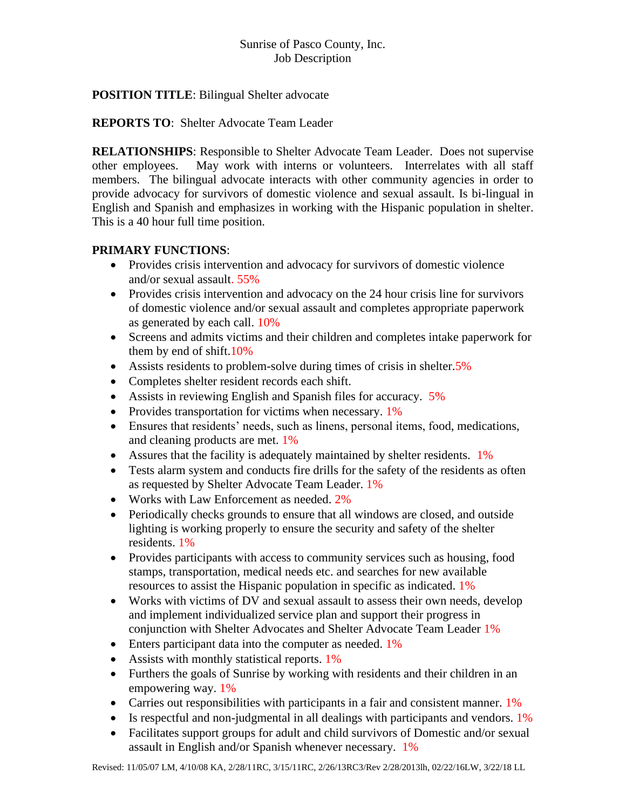# **POSITION TITLE**: Bilingual Shelter advocate

**REPORTS TO**: Shelter Advocate Team Leader

**RELATIONSHIPS**: Responsible to Shelter Advocate Team Leader. Does not supervise other employees. May work with interns or volunteers. Interrelates with all staff members. The bilingual advocate interacts with other community agencies in order to provide advocacy for survivors of domestic violence and sexual assault. Is bi-lingual in English and Spanish and emphasizes in working with the Hispanic population in shelter. This is a 40 hour full time position.

# **PRIMARY FUNCTIONS**:

- Provides crisis intervention and advocacy for survivors of domestic violence and/or sexual assault. 55%
- Provides crisis intervention and advocacy on the 24 hour crisis line for survivors of domestic violence and/or sexual assault and completes appropriate paperwork as generated by each call. 10%
- Screens and admits victims and their children and completes intake paperwork for them by end of shift.10%
- Assists residents to problem-solve during times of crisis in shelter.5%
- Completes shelter resident records each shift.
- Assists in reviewing English and Spanish files for accuracy. 5%
- Provides transportation for victims when necessary. 1%
- Ensures that residents' needs, such as linens, personal items, food, medications, and cleaning products are met. 1%
- Assures that the facility is adequately maintained by shelter residents. 1%
- Tests alarm system and conducts fire drills for the safety of the residents as often as requested by Shelter Advocate Team Leader. 1%
- Works with Law Enforcement as needed. 2%
- Periodically checks grounds to ensure that all windows are closed, and outside lighting is working properly to ensure the security and safety of the shelter residents. 1%
- Provides participants with access to community services such as housing, food stamps, transportation, medical needs etc. and searches for new available resources to assist the Hispanic population in specific as indicated. 1%
- Works with victims of DV and sexual assault to assess their own needs, develop and implement individualized service plan and support their progress in conjunction with Shelter Advocates and Shelter Advocate Team Leader 1%
- Enters participant data into the computer as needed. 1%
- Assists with monthly statistical reports. 1%
- Furthers the goals of Sunrise by working with residents and their children in an empowering way. 1%
- Carries out responsibilities with participants in a fair and consistent manner. 1%
- Is respectful and non-judgmental in all dealings with participants and vendors. 1%
- Facilitates support groups for adult and child survivors of Domestic and/or sexual assault in English and/or Spanish whenever necessary. 1%